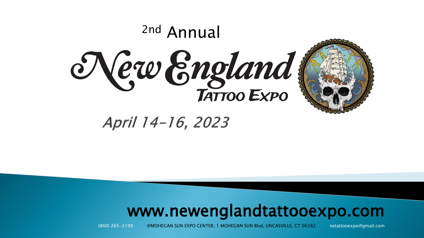

April 14-16, 2023

#### www.newenglandtattooexpo.com

(860) 265-2199 @MOHEGAN SUN EXPO CENTER, 1 MOHEGAN SUN Blvd, UNCASVILLE, CT 06382 netattooexpo@gmail.com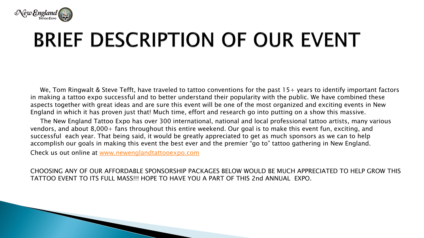

## BRIEF DESCRIPTION OF OUR EVENT

We, Tom Ringwalt & Steve Tefft, have traveled to tattoo conventions for the past  $15+$  years to identify important factors in making a tattoo expo successful and to better understand their popularity with the public. We have combined these aspects together with great ideas and are sure this event will be one of the most organized and exciting events in New England in which it has proven just that! Much time, effort and research go into putting on a show this massive.

The New England Tattoo Expo has over 300 international, national and local professional tattoo artists, many various vendors, and about 8,000+ fans throughout this entire weekend. Our goal is to make this event fun, exciting, and successful each year. That being said, it would be greatly appreciated to get as much sponsors as we can to help accomplish our goals in making this event the best ever and the premier "go to" tattoo gathering in New England.

Check us out online at [www.newenglandtattooexpo.com](http://www.newenglandtattooexpo.com/)

CHOOSING ANY OF OUR AFFORDABLE SPONSORSHIP PACKAGES BELOW WOULD BE MUCH APPRECIATED TO HELP GROW THIS TATTOO EVENT TO ITS FULL MASS!!! HOPE TO HAVE YOU A PART OF THIS 2nd ANNUAL EXPO.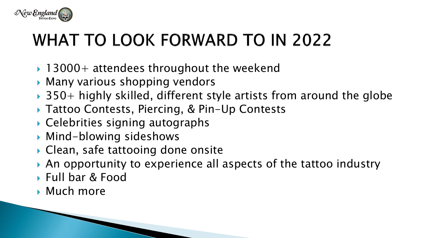

### **WHAT TO LOOK FORWARD TO IN 2022**

- $\rightarrow$  13000+ attendees throughout the weekend
- ▶ Many various shopping vendors
- $\rightarrow$  350+ highly skilled, different style artists from around the globe
- ▶ Tattoo Contests, Piercing, & Pin-Up Contests
- Celebrities signing autographs
- Mind-blowing sideshows
- ▶ Clean, safe tattooing done onsite
- An opportunity to experience all aspects of the tattoo industry
- ▶ Full bar & Food
- **Much more**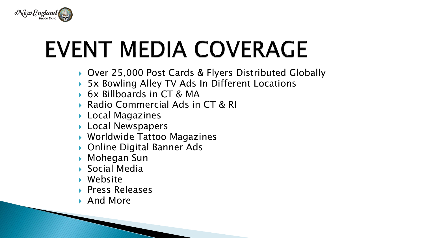

# **EVENT MEDIA COVERAGE**

- ▶ Over 25,000 Post Cards & Flyers Distributed Globally
- 5x Bowling Alley TV Ads In Different Locations
- 6x Billboards in CT & MA
- ▶ Radio Commercial Ads in CT & RI
- Local Magazines
- **Local Newspapers**
- Worldwide Tattoo Magazines
- Online Digital Banner Ads
- Mohegan Sun
- ▶ Social Media
- Website
- ▶ Press Releases
- ▶ And More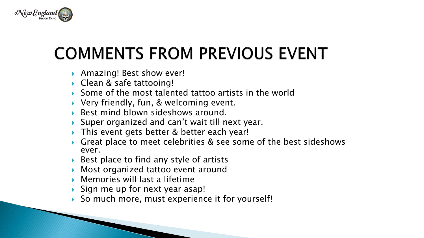

### **COMMENTS FROM PREVIOUS EVENT**

- ▶ Amazing! Best show ever!
- ▶ Clean & safe tattooing!
- ▶ Some of the most talented tattoo artists in the world
- Very friendly, fun, & welcoming event.
- ▶ Best mind blown sideshows around.
- Super organized and can't wait till next year.
- This event gets better & better each year!
- Great place to meet celebrities & see some of the best sideshows ever.
- Best place to find any style of artists
- Most organized tattoo event around
- Memories will last a lifetime
- Sign me up for next year asap!
- So much more, must experience it for yourself!